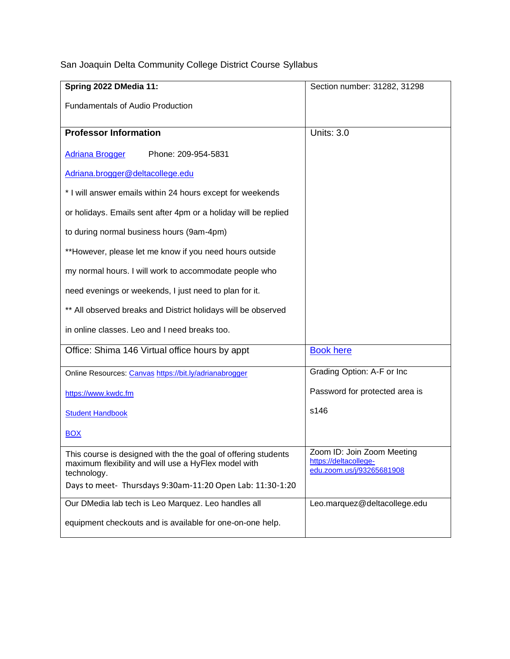San Joaquin Delta Community College District Course Syllabus

| Spring 2022 DMedia 11:                                                                                                                                                                             | Section number: 31282, 31298                                                     |
|----------------------------------------------------------------------------------------------------------------------------------------------------------------------------------------------------|----------------------------------------------------------------------------------|
| <b>Fundamentals of Audio Production</b>                                                                                                                                                            |                                                                                  |
|                                                                                                                                                                                                    |                                                                                  |
| <b>Professor Information</b>                                                                                                                                                                       | <b>Units: 3.0</b>                                                                |
| <b>Adriana Brogger</b><br>Phone: 209-954-5831                                                                                                                                                      |                                                                                  |
| Adriana.brogger@deltacollege.edu                                                                                                                                                                   |                                                                                  |
| * I will answer emails within 24 hours except for weekends                                                                                                                                         |                                                                                  |
| or holidays. Emails sent after 4pm or a holiday will be replied                                                                                                                                    |                                                                                  |
| to during normal business hours (9am-4pm)                                                                                                                                                          |                                                                                  |
| **However, please let me know if you need hours outside                                                                                                                                            |                                                                                  |
| my normal hours. I will work to accommodate people who                                                                                                                                             |                                                                                  |
| need evenings or weekends, I just need to plan for it.                                                                                                                                             |                                                                                  |
| ** All observed breaks and District holidays will be observed                                                                                                                                      |                                                                                  |
| in online classes. Leo and I need breaks too.                                                                                                                                                      |                                                                                  |
| Office: Shima 146 Virtual office hours by appt                                                                                                                                                     | <b>Book here</b>                                                                 |
| Online Resources: Canvas https://bit.ly/adrianabrogger                                                                                                                                             | Grading Option: A-F or Inc                                                       |
| https://www.kwdc.fm                                                                                                                                                                                | Password for protected area is                                                   |
| <b>Student Handbook</b>                                                                                                                                                                            | s146                                                                             |
| <b>BOX</b>                                                                                                                                                                                         |                                                                                  |
| This course is designed with the the goal of offering students<br>maximum flexibility and will use a HyFlex model with<br>technology.<br>Days to meet- Thursdays 9:30am-11:20 Open Lab: 11:30-1:20 | Zoom ID: Join Zoom Meeting<br>https://deltacollege-<br>edu.zoom.us/j/93265681908 |
|                                                                                                                                                                                                    |                                                                                  |
| Our DMedia lab tech is Leo Marquez. Leo handles all                                                                                                                                                | Leo.marquez@deltacollege.edu                                                     |
| equipment checkouts and is available for one-on-one help.                                                                                                                                          |                                                                                  |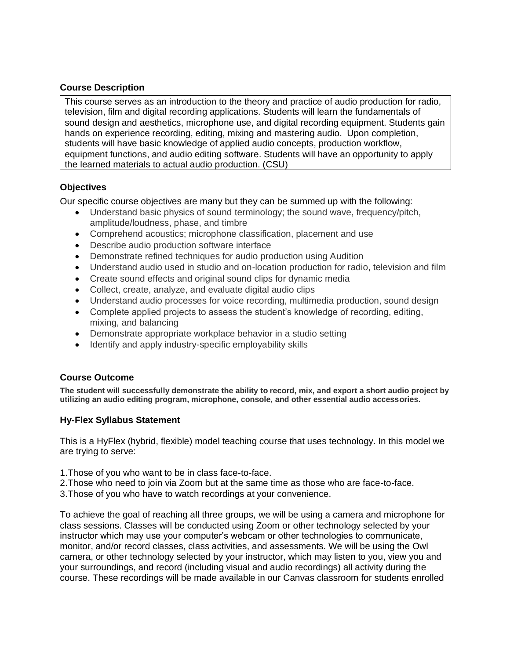#### **Course Description**

This course serves as an introduction to the theory and practice of audio production for radio, television, film and digital recording applications. Students will learn the fundamentals of sound design and aesthetics, microphone use, and digital recording equipment. Students gain hands on experience recording, editing, mixing and mastering audio. Upon completion, students will have basic knowledge of applied audio concepts, production workflow, equipment functions, and audio editing software. Students will have an opportunity to apply the learned materials to actual audio production. (CSU)

### **Objectives**

Our specific course objectives are many but they can be summed up with the following:

- Understand basic physics of sound terminology; the sound wave, frequency/pitch, amplitude/loudness, phase, and timbre
- Comprehend acoustics; microphone classification, placement and use
- Describe audio production software interface
- Demonstrate refined techniques for audio production using Audition
- Understand audio used in studio and on-location production for radio, television and film
- Create sound effects and original sound clips for dynamic media
- Collect, create, analyze, and evaluate digital audio clips
- Understand audio processes for voice recording, multimedia production, sound design
- Complete applied projects to assess the student's knowledge of recording, editing, mixing, and balancing
- Demonstrate appropriate workplace behavior in a studio setting
- Identify and apply industry-specific employability skills

#### **Course Outcome**

**The student will successfully demonstrate the ability to record, mix, and export a short audio project by utilizing an audio editing program, microphone, console, and other essential audio accessories.**

#### **Hy-Flex Syllabus Statement**

This is a HyFlex (hybrid, flexible) model teaching course that uses technology. In this model we are trying to serve:

- 1.Those of you who want to be in class face-to-face.
- 2.Those who need to join via Zoom but at the same time as those who are face-to-face.
- 3.Those of you who have to watch recordings at your convenience.

To achieve the goal of reaching all three groups, we will be using a camera and microphone for class sessions. Classes will be conducted using Zoom or other technology selected by your instructor which may use your computer's webcam or other technologies to communicate, monitor, and/or record classes, class activities, and assessments. We will be using the Owl camera, or other technology selected by your instructor, which may listen to you, view you and your surroundings, and record (including visual and audio recordings) all activity during the course. These recordings will be made available in our Canvas classroom for students enrolled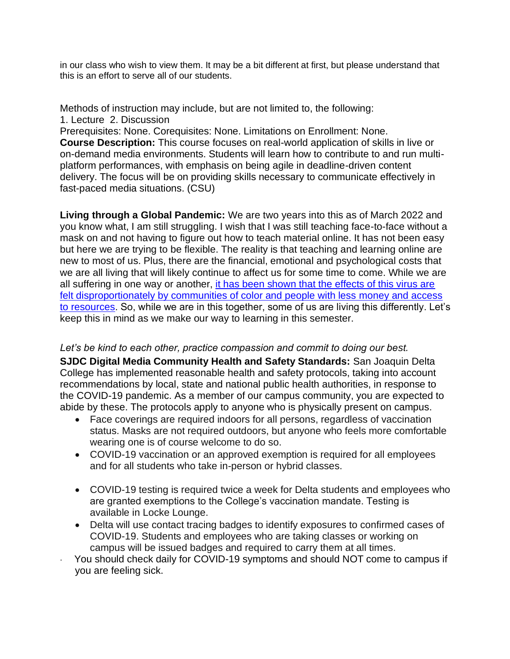in our class who wish to view them. It may be a bit different at first, but please understand that this is an effort to serve all of our students.

Methods of instruction may include, but are not limited to, the following: 1. Lecture 2. Discussion

Prerequisites: None. Corequisites: None. Limitations on Enrollment: None. **Course Description:** This course focuses on real-world application of skills in live or on-demand media environments. Students will learn how to contribute to and run multiplatform performances, with emphasis on being agile in deadline-driven content delivery. The focus will be on providing skills necessary to communicate effectively in fast-paced media situations. (CSU)

**Living through a Global Pandemic:** We are two years into this as of March 2022 and you know what, I am still struggling. I wish that I was still teaching face-to-face without a mask on and not having to figure out how to teach material online. It has not been easy but here we are trying to be flexible. The reality is that teaching and learning online are new to most of us. Plus, there are the financial, emotional and psychological costs that we are all living that will likely continue to affect us for some time to come. While we are all suffering in one way or another, [it has been shown that the effects of this virus are](https://www.cdc.gov/coronavirus/2019-ncov/community/health-equity/race-ethnicity.html)  [felt disproportionately by communities of color and people with less money and access](https://www.cdc.gov/coronavirus/2019-ncov/community/health-equity/race-ethnicity.html)  [to resources.](https://www.cdc.gov/coronavirus/2019-ncov/community/health-equity/race-ethnicity.html) So, while we are in this together, some of us are living this differently. Let's keep this in mind as we make our way to learning in this semester.

## *Let's be kind to each other, practice compassion and commit to doing our best.*

**SJDC Digital Media Community Health and Safety Standards:** San Joaquin Delta College has implemented reasonable health and safety protocols, taking into account recommendations by local, state and national public health authorities, in response to the COVID-19 pandemic. As a member of our campus community, you are expected to abide by these. The protocols apply to anyone who is physically present on campus.

- Face coverings are required indoors for all persons, regardless of vaccination status. Masks are not required outdoors, but anyone who feels more comfortable wearing one is of course welcome to do so.
- COVID-19 vaccination or an approved exemption is required for all employees and for all students who take in-person or hybrid classes.
- COVID-19 testing is required twice a week for Delta students and employees who are granted exemptions to the College's vaccination mandate. Testing is available in Locke Lounge.
- Delta will use contact tracing badges to identify exposures to confirmed cases of COVID-19. Students and employees who are taking classes or working on campus will be issued badges and required to carry them at all times.
- · You should check daily for COVID-19 symptoms and should NOT come to campus if you are feeling sick.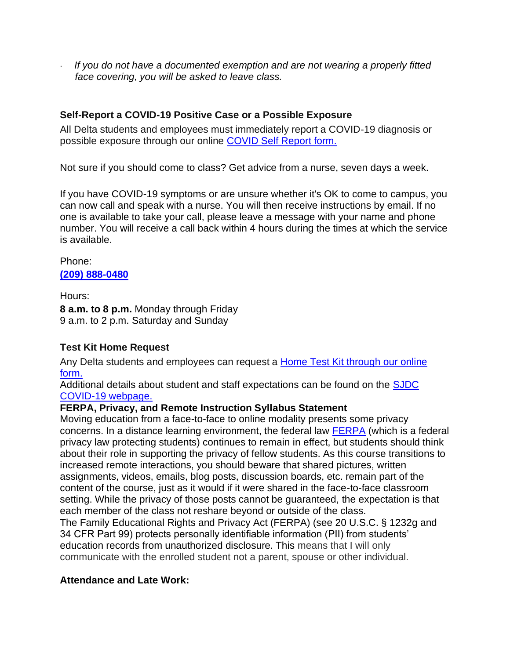· *If you do not have a documented exemption and are not wearing a properly fitted face covering, you will be asked to leave class.*

# **Self-Report a COVID-19 Positive Case or a Possible Exposure**

All Delta students and employees must immediately report a COVID-19 diagnosis or possible exposure through our online [COVID Self Report form.](https://app.smartsheet.com/b/form/06f7e81cafb84843aaf45c2ecbc8a032)

Not sure if you should come to class? Get advice from a nurse, seven days a week.

If you have COVID-19 symptoms or are unsure whether it's OK to come to campus, you can now call and speak with a nurse. You will then receive instructions by email. If no one is available to take your call, please leave a message with your name and phone number. You will receive a call back within 4 hours during the times at which the service is available.

Phone: **[\(209\) 888-0480](tel:2098880480)**

Hours: **8 a.m. to 8 p.m.** Monday through Friday 9 a.m. to 2 p.m. Saturday and Sunday

# **Test Kit Home Request**

Any Delta students and employees can request a [Home Test Kit through our online](https://app.smartsheet.com/b/form/80073632ed9d493abe8056821f74e815)  [form.](https://app.smartsheet.com/b/form/80073632ed9d493abe8056821f74e815)

Additional details about student and staff expectations can be found on the [SJDC](https://www.deltacollege.edu/coronavirus/campus-ready)  [COVID-19 webpage.](https://www.deltacollege.edu/coronavirus/campus-ready) 

# **FERPA, Privacy, and Remote Instruction Syllabus Statement**

Moving education from a face-to-face to online modality presents some privacy concerns. In a distance learning environment, the federal law [FERPA](https://studentprivacy.ed.gov/faq/what-ferpa) (which is a federal privacy law protecting students) continues to remain in effect, but students should think about their role in supporting the privacy of fellow students. As this course transitions to increased remote interactions, you should beware that shared pictures, written assignments, videos, emails, blog posts, discussion boards, etc. remain part of the content of the course, just as it would if it were shared in the face-to-face classroom setting. While the privacy of those posts cannot be guaranteed, the expectation is that each member of the class not reshare beyond or outside of the class. The Family Educational Rights and Privacy Act (FERPA) (see 20 U.S.C. § 1232g and 34 CFR Part 99) protects personally identifiable information (PII) from students'

education records from unauthorized disclosure. This means that I will only communicate with the enrolled student not a parent, spouse or other individual.

# **Attendance and Late Work:**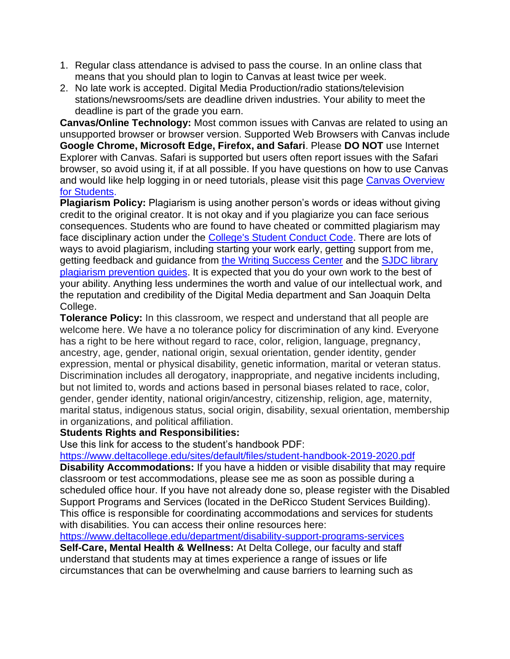- 1. Regular class attendance is advised to pass the course. In an online class that means that you should plan to login to Canvas at least twice per week.
- 2. No late work is accepted. Digital Media Production/radio stations/television stations/newsrooms/sets are deadline driven industries. Your ability to meet the deadline is part of the grade you earn.

**Canvas/Online Technology:** Most common issues with Canvas are related to using an unsupported browser or browser version. Supported Web Browsers with Canvas include **Google Chrome, Microsoft Edge, Firefox, and Safari**. Please **DO NOT** use Internet Explorer with Canvas. Safari is supported but users often report issues with the Safari browser, so avoid using it, if at all possible. If you have questions on how to use Canvas and would like help logging in or need tutorials, please visit this page [Canvas Overview](https://deltacollege.edu/academics/online-regional-education/students-canvas-guides-and-videos)  [for Students.](https://deltacollege.edu/academics/online-regional-education/students-canvas-guides-and-videos)

**Plagiarism Policy:** Plagiarism is using another person's words or ideas without giving credit to the original creator. It is not okay and if you plagiarize you can face serious consequences. Students who are found to have cheated or committed plagiarism may face disciplinary action under the [College's Student Conduct Code.](https://deltacollege.edu/campus-offices/student-services-division/student-conduct) There are lots of ways to avoid plagiarism, including starting your work early, getting support from me, getting feedback and guidance from [the Writing Success Center](https://deltacollege.edu/academics/tutoring-and-workshops/writing-success-center) and the [SJDC library](https://deltacollege.edu/sites/default/files/documents/imported/plagiarismpreventionandcitingsourcesinapastyle.pdf)  [plagiarism prevention guides.](https://deltacollege.edu/sites/default/files/documents/imported/plagiarismpreventionandcitingsourcesinapastyle.pdf) It is expected that you do your own work to the best of your ability. Anything less undermines the worth and value of our intellectual work, and the reputation and credibility of the Digital Media department and San Joaquin Delta College.

**Tolerance Policy:** In this classroom, we respect and understand that all people are welcome here. We have a no tolerance policy for discrimination of any kind. Everyone has a right to be here without regard to race, color, religion, language, pregnancy, ancestry, age, gender, national origin, sexual orientation, gender identity, gender expression, mental or physical disability, genetic information, marital or veteran status. Discrimination includes all derogatory, inappropriate, and negative incidents including, but not limited to, words and actions based in personal biases related to race, color, gender, gender identity, national origin/ancestry, citizenship, religion, age, maternity, marital status, indigenous status, social origin, disability, sexual orientation, membership in organizations, and political affiliation.

## **Students Rights and Responsibilities:**

Use this link for access to the student's handbook PDF:

<https://www.deltacollege.edu/sites/default/files/student-handbook-2019-2020.pdf>

**Disability Accommodations:** If you have a hidden or visible disability that may require classroom or test accommodations, please see me as soon as possible during a scheduled office hour. If you have not already done so, please register with the Disabled Support Programs and Services (located in the DeRicco Student Services Building). This office is responsible for coordinating accommodations and services for students with disabilities. You can access their online resources here:

<https://www.deltacollege.edu/department/disability-support-programs-services> **Self-Care, Mental Health & Wellness:** At Delta College, our faculty and staff understand that students may at times experience a range of issues or life circumstances that can be overwhelming and cause barriers to learning such as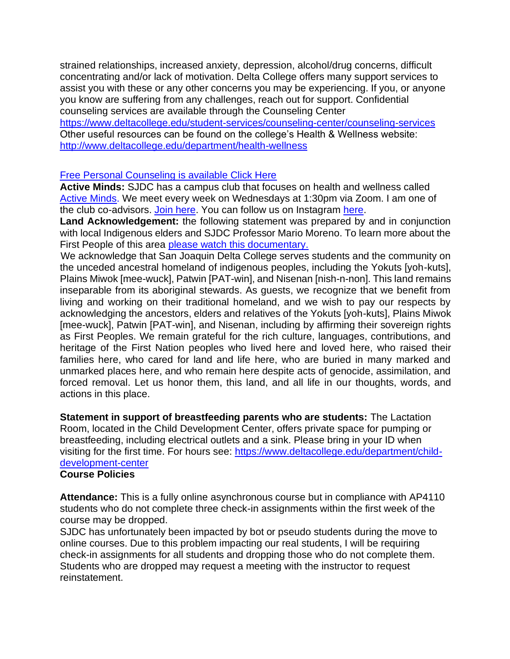strained relationships, increased anxiety, depression, alcohol/drug concerns, difficult concentrating and/or lack of motivation. Delta College offers many support services to assist you with these or any other concerns you may be experiencing. If you, or anyone you know are suffering from any challenges, reach out for support. Confidential counseling services are available through the Counseling Center

<https://www.deltacollege.edu/student-services/counseling-center/counseling-services> Other useful resources can be found on the college's Health & Wellness website: <http://www.deltacollege.edu/department/health-wellness>

# [Free Personal Counseling is available Click Here](https://www.youtube.com/watch?v=Kim6klXN0hU)

**Active Minds:** SJDC has a campus club that focuses on health and wellness called Active Minds. We meet every week on Wednesdays at 1:30pm via Zoom. I am one of the club co-advisors. [Join here.](https://deltacollege-edu.zoom.us/s/566962470) You can follow us on Instagram here.

**Land Acknowledgement:** the following statement was prepared by and in conjunction with local Indigenous elders and SJDC Professor Mario Moreno. To learn more about the First People of this area [please watch this documentary.](https://www.youtube.com/watch?v=2rk90s-xT9w)

We acknowledge that San Joaquin Delta College serves students and the community on the unceded ancestral homeland of indigenous peoples, including the Yokuts [yoh-kuts], Plains Miwok [mee-wuck], Patwin [PAT-win], and Nisenan [nish-n-non]. This land remains inseparable from its aboriginal stewards. As guests, we recognize that we benefit from living and working on their traditional homeland, and we wish to pay our respects by acknowledging the ancestors, elders and relatives of the Yokuts [yoh-kuts], Plains Miwok [mee-wuck], Patwin [PAT-win], and Nisenan, including by affirming their sovereign rights as First Peoples. We remain grateful for the rich culture, languages, contributions, and heritage of the First Nation peoples who lived here and loved here, who raised their families here, who cared for land and life here, who are buried in many marked and unmarked places here, and who remain here despite acts of genocide, assimilation, and forced removal. Let us honor them, this land, and all life in our thoughts, words, and actions in this place.

**Statement in support of breastfeeding parents who are students:** The Lactation Room, located in the Child Development Center, offers private space for pumping or breastfeeding, including electrical outlets and a sink. Please bring in your ID when visiting for the first time. For hours see: [https://www.deltacollege.edu/department/child](https://www.deltacollege.edu/department/child-development-center)[development-center](https://www.deltacollege.edu/department/child-development-center)

## **Course Policies**

**Attendance:** This is a fully online asynchronous course but in compliance with AP4110 students who do not complete three check-in assignments within the first week of the course may be dropped.

SJDC has unfortunately been impacted by bot or pseudo students during the move to online courses. Due to this problem impacting our real students, I will be requiring check-in assignments for all students and dropping those who do not complete them. Students who are dropped may request a meeting with the instructor to request reinstatement.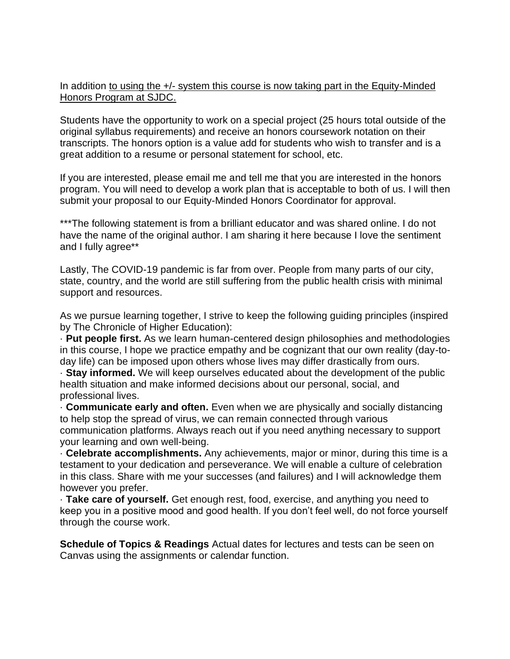In addition to using the  $+/-$  system this course is now taking part in the Equity-Minded Honors Program at SJDC.

Students have the opportunity to work on a special project (25 hours total outside of the original syllabus requirements) and receive an honors coursework notation on their transcripts. The honors option is a value add for students who wish to transfer and is a great addition to a resume or personal statement for school, etc.

If you are interested, please email me and tell me that you are interested in the honors program. You will need to develop a work plan that is acceptable to both of us. I will then submit your proposal to our Equity-Minded Honors Coordinator for approval.

\*\*\*The following statement is from a brilliant educator and was shared online. I do not have the name of the original author. I am sharing it here because I love the sentiment and I fully agree\*\*

Lastly, The COVID-19 pandemic is far from over. People from many parts of our city, state, country, and the world are still suffering from the public health crisis with minimal support and resources.

As we pursue learning together, I strive to keep the following guiding principles (inspired by The Chronicle of Higher Education):

· **Put people first.** As we learn human-centered design philosophies and methodologies in this course, I hope we practice empathy and be cognizant that our own reality (day-today life) can be imposed upon others whose lives may differ drastically from ours.

· **Stay informed.** We will keep ourselves educated about the development of the public health situation and make informed decisions about our personal, social, and professional lives.

· **Communicate early and often.** Even when we are physically and socially distancing to help stop the spread of virus, we can remain connected through various communication platforms. Always reach out if you need anything necessary to support your learning and own well-being.

· **Celebrate accomplishments.** Any achievements, major or minor, during this time is a testament to your dedication and perseverance. We will enable a culture of celebration in this class. Share with me your successes (and failures) and I will acknowledge them however you prefer.

· **Take care of yourself.** Get enough rest, food, exercise, and anything you need to keep you in a positive mood and good health. If you don't feel well, do not force yourself through the course work.

**Schedule of Topics & Readings** Actual dates for lectures and tests can be seen on Canvas using the assignments or calendar function.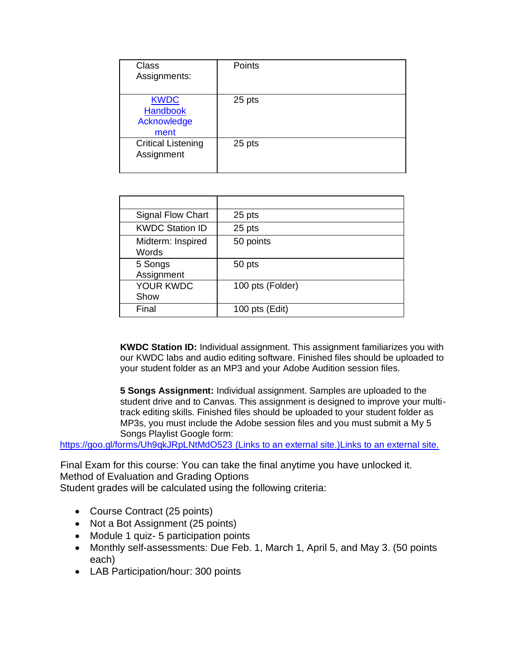| <b>Class</b><br>Assignments:                          | Points |
|-------------------------------------------------------|--------|
| <b>KWDC</b><br><b>Handbook</b><br>Acknowledge<br>ment | 25 pts |
| <b>Critical Listening</b><br>Assignment               | 25 pts |

| <b>Signal Flow Chart</b>   | 25 pts           |
|----------------------------|------------------|
| <b>KWDC Station ID</b>     | 25 pts           |
| Midterm: Inspired<br>Words | 50 points        |
| 5 Songs<br>Assignment      | 50 pts           |
| <b>YOUR KWDC</b><br>Show   | 100 pts (Folder) |
| Final                      | 100 pts $(Edit)$ |

**KWDC Station ID:** Individual assignment. This assignment familiarizes you with our KWDC labs and audio editing software. Finished files should be uploaded to your student folder as an MP3 and your Adobe Audition session files.

**5 Songs Assignment:** Individual assignment. Samples are uploaded to the student drive and to Canvas. This assignment is designed to improve your multitrack editing skills. Finished files should be uploaded to your student folder as MP3s, you must include the Adobe session files and you must submit a My 5 Songs Playlist Google form:

<https://goo.gl/forms/Uh9qkJRpLNtMdO523> (Links to an external site.)Links to an external site.

Final Exam for this course: You can take the final anytime you have unlocked it. Method of Evaluation and Grading Options Student grades will be calculated using the following criteria:

- Course Contract (25 points)
- Not a Bot Assignment (25 points)
- Module 1 quiz- 5 participation points
- Monthly self-assessments: Due Feb. 1, March 1, April 5, and May 3. (50 points each)
- LAB Participation/hour: 300 points